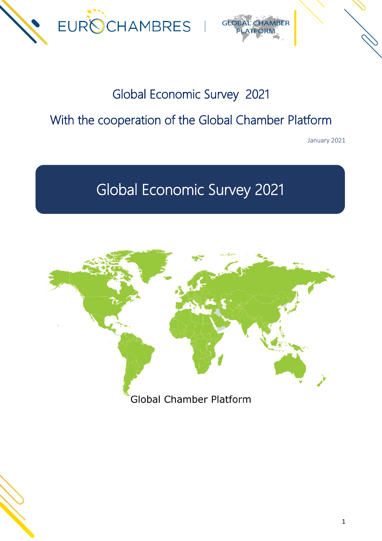



# Global Economic Survey 2021

# With the cooperation of the Global Chamber Platform

January 2021

# Global Economic Survey 2021



Global Chamber Platform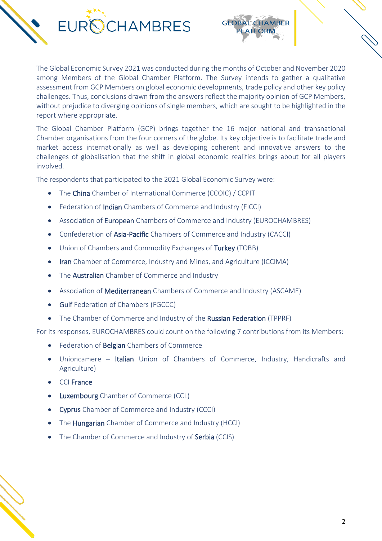



The Global Economic Survey 2021 was conducted during the months of October and November 2020 among Members of the Global Chamber Platform. The Survey intends to gather a qualitative assessment from GCP Members on global economic developments, trade policy and other key policy challenges. Thus, conclusions drawn from the answers reflect the majority opinion of GCP Members, without prejudice to diverging opinions of single members, which are sought to be highlighted in the report where appropriate.

The Global Chamber Platform (GCP) brings together the 16 major national and transnational Chamber organisations from the four corners of the globe. Its key objective is to facilitate trade and market access internationally as well as developing coherent and innovative answers to the challenges of globalisation that the shift in global economic realities brings about for all players involved.

The respondents that participated to the 2021 Global Economic Survey were:

- The China Chamber of International Commerce (CCOIC) / CCPIT
- Federation of Indian Chambers of Commerce and Industry (FICCI)
- Association of **European** Chambers of Commerce and Industry (EUROCHAMBRES)
- Confederation of Asia-Pacific Chambers of Commerce and Industry (CACCI)
- Union of Chambers and Commodity Exchanges of Turkey (TOBB)
- Iran Chamber of Commerce, Industry and Mines, and Agriculture (ICCIMA)
- The **Australian** Chamber of Commerce and Industry
- Association of **Mediterranean** Chambers of Commerce and Industry (ASCAME)
- Gulf Federation of Chambers (FGCCC)
- The Chamber of Commerce and Industry of the Russian Federation (TPPRF)

For its responses, EUROCHAMBRES could count on the following 7 contributions from its Members:

- Federation of **Belgian** Chambers of Commerce
- Unioncamere Italian Union of Chambers of Commerce, Industry, Handicrafts and Agriculture)
- CCI France
- Luxembourg Chamber of Commerce (CCL)
- Cyprus Chamber of Commerce and Industry (CCCI)
- The Hungarian Chamber of Commerce and Industry (HCCI)
- The Chamber of Commerce and Industry of Serbia (CCIS)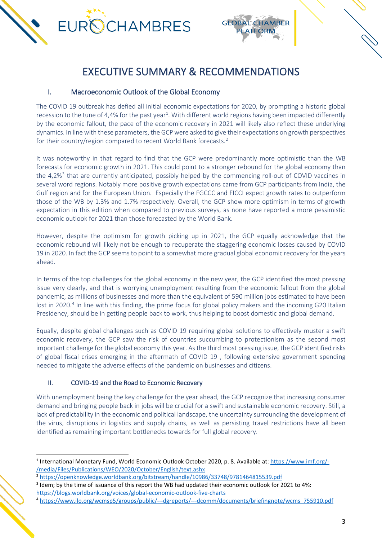

# EXECUTIVE SUMMARY & RECOMMENDATIONS

#### I. Macroeconomic Outlook of the Global Economy

The COVID 19 outbreak has defied all initial economic expectations for 2020, by prompting a historic global recession to the tune of 4,4% for the past year<sup>[1](#page-2-0)</sup>. With different world regions having been impacted differently by the economic fallout, the pace of the economic recovery in 2021 will likely also reflect these underlying dynamics. In line with these parameters, the GCP were asked to give their expectations on growth perspectives for their country/region compared to recent World Bank forecasts.[2](#page-2-1)

It was noteworthy in that regard to find that the GCP were predominantly more optimistic than the WB forecasts for economic growth in 2021. This could point to a stronger rebound for the global economy than the 4,2%<sup>[3](#page-2-2)</sup> that are currently anticipated, possibly helped by the commencing roll-out of COVID vaccines in several word regions. Notably more positive growth expectations came from GCP participants from India, the Gulf region and for the European Union. Especially the FGCCC and FICCI expect growth rates to outperform those of the WB by 1.3% and 1.7% respectively. Overall, the GCP show more optimism in terms of growth expectation in this edition when compared to previous surveys, as none have reported a more pessimistic economic outlook for 2021 than those forecasted by the World Bank.

However, despite the optimism for growth picking up in 2021, the GCP equally acknowledge that the economic rebound will likely not be enough to recuperate the staggering economic losses caused by COVID 19 in 2020. In fact the GCP seems to point to a somewhat more gradual global economic recovery for the years ahead.

In terms of the top challenges for the global economy in the new year, the GCP identified the most pressing issue very clearly, and that is worrying unemployment resulting from the economic fallout from the global pandemic, as millions of businesses and more than the equivalent of 590 million jobs estimated to have been lost in 2020.<sup>[4](#page-2-3)</sup> In line with this finding, the prime focus for global policy makers and the incoming G20 Italian Presidency, should be in getting people back to work, thus helping to boost domestic and global demand.

Equally, despite global challenges such as COVID 19 requiring global solutions to effectively muster a swift economic recovery, the GCP saw the risk of countries succumbing to protectionism as the second most important challenge for the global economy this year. As the third most pressing issue, the GCP identified risks of global fiscal crises emerging in the aftermath of COVID 19 , following extensive government spending needed to mitigate the adverse effects of the pandemic on businesses and citizens.

#### II. COVID-19 and the Road to Economic Recovery

With unemployment being the key challenge for the year ahead, the GCP recognize that increasing consumer demand and bringing people back in jobs will be crucial for a swift and sustainable economic recovery. Still, a lack of predictability in the economic and political landscape, the uncertainty surrounding the development of the virus, disruptions in logistics and supply chains, as well as persisting travel restrictions have all been identified as remaining important bottlenecks towards for full global recovery.

<span id="page-2-0"></span><sup>1</sup> International Monetary Fund, World Economic Outlook October 2020, p. 8. Available at[: https://www.imf.org/-](https://www.imf.org/-/media/Files/Publications/WEO/2020/October/English/text.ashx) [/media/Files/Publications/WEO/2020/October/English/text.ashx](https://www.imf.org/-/media/Files/Publications/WEO/2020/October/English/text.ashx)

<sup>2</sup> <https://openknowledge.worldbank.org/bitstream/handle/10986/33748/9781464815539.pdf>

<span id="page-2-2"></span><span id="page-2-1"></span><sup>3</sup> Idem; by the time of issuance of this report the WB had updated their economic outlook for 2021 to 4%: <https://blogs.worldbank.org/voices/global-economic-outlook-five-charts>

<span id="page-2-3"></span><sup>4</sup> [https://www.ilo.org/wcmsp5/groups/public/---dgreports/---dcomm/documents/briefingnote/wcms\\_755910.pdf](https://www.ilo.org/wcmsp5/groups/public/---dgreports/---dcomm/documents/briefingnote/wcms_755910.pdf)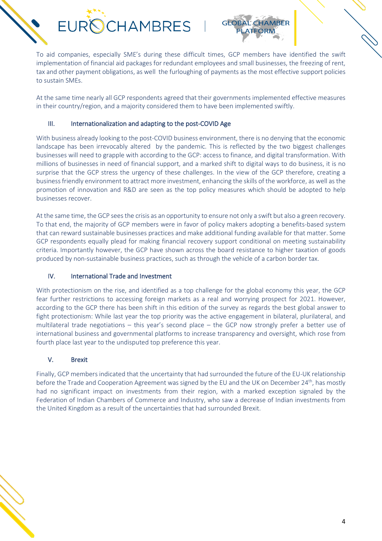

To aid companies, especially SME's during these difficult times, GCP members have identified the swift implementation of financial aid packages for redundant employees and small businesses, the freezing of rent, tax and other payment obligations, as well the furloughing of payments as the most effective support policies to sustain SMEs.

At the same time nearly all GCP respondents agreed that their governments implemented effective measures in their country/region, and a majority considered them to have been implemented swiftly.

#### III. Internationalization and adapting to the post-COVID Age

With business already looking to the post-COVID business environment, there is no denying that the economic landscape has been irrevocably altered by the pandemic. This is reflected by the two biggest challenges businesses will need to grapple with according to the GCP: access to finance, and digital transformation. With millions of businesses in need of financial support, and a marked shift to digital ways to do business, it is no surprise that the GCP stress the urgency of these challenges. In the view of the GCP therefore, creating a business friendly environment to attract more investment, enhancing the skills of the workforce, as well as the promotion of innovation and R&D are seen as the top policy measures which should be adopted to help businesses recover.

At the same time, the GCP sees the crisis as an opportunity to ensure not only a swift but also a green recovery. To that end, the majority of GCP members were in favor of policy makers adopting a benefits-based system that can reward sustainable businesses practices and make additional funding available for that matter. Some GCP respondents equally plead for making financial recovery support conditional on meeting sustainability criteria. Importantly however, the GCP have shown across the board resistance to higher taxation of goods produced by non-sustainable business practices, such as through the vehicle of a carbon border tax.

#### IV. International Trade and Investment

With protectionism on the rise, and identified as a top challenge for the global economy this year, the GCP fear further restrictions to accessing foreign markets as a real and worrying prospect for 2021. However, according to the GCP there has been shift in this edition of the survey as regards the best global answer to fight protectionism: While last year the top priority was the active engagement in bilateral, plurilateral, and multilateral trade negotiations – this year's second place – the GCP now strongly prefer a better use of international business and governmental platforms to increase transparency and oversight, which rose from fourth place last year to the undisputed top preference this year.

#### V. Brexit

Finally, GCP members indicated that the uncertainty that had surrounded the future of the EU-UK relationship before the Trade and Cooperation Agreement was signed by the EU and the UK on December 24<sup>th</sup>, has mostly had no significant impact on investments from their region, with a marked exception signaled by the Federation of Indian Chambers of Commerce and Industry, who saw a decrease of Indian investments from the United Kingdom as a result of the uncertainties that had surrounded Brexit.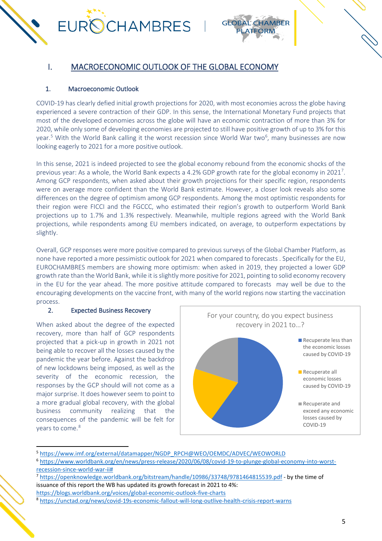

### I. MACROECONOMIC OUTLOOK OF THE GLOBAL ECONOMY

#### 1. Macroeconomic Outlook

COVID-19 has clearly defied initial growth projections for 2020, with most economies across the globe having experienced a severe contraction of their GDP. In this sense, the International Monetary Fund projects that most of the developed economies across the globe will have an economic contraction of more than 3% for 2020, while only some of developing economies are projected to still have positive growth of up to 3% for this year.<sup>[5](#page-4-0)</sup> With the World Bank calling it the worst recession since World War two<sup>[6](#page-4-1)</sup>, many businesses are now looking eagerly to 2021 for a more positive outlook.

In this sense, 2021 is indeed projected to see the global economy rebound from the economic shocks of the previous year: As a whole, the World Bank expects a 4.2% GDP growth rate for the global economy in 2021<sup>[7](#page-4-2)</sup>. Among GCP respondents, when asked about their growth projections for their specific region, respondents were on average more confident than the World Bank estimate. However, a closer look reveals also some differences on the degree of optimism among GCP respondents. Among the most optimistic respondents for their region were FICCI and the FGCCC, who estimated their region's growth to outperform World Bank projections up to 1.7% and 1.3% respectively. Meanwhile, multiple regions agreed with the World Bank projections, while respondents among EU members indicated, on average, to outperform expectations by slightly.

Overall, GCP responses were more positive compared to previous surveys of the Global Chamber Platform, as none have reported a more pessimistic outlook for 2021 when compared to forecasts . Specifically for the EU, EUROCHAMBRES members are showing more optimism: when asked in 2019, they projected a lower GDP growth rate than the World Bank, while it is slightly more positive for 2021, pointing to solid economy recovery in the EU for the year ahead. The more positive attitude compared to forecasts may well be due to the encouraging developments on the vaccine front, with many of the world regions now starting the vaccination process.

#### 2. Expected Business Recovery

When asked about the degree of the expected recovery, more than half of GCP respondents projected that a pick-up in growth in 2021 not being able to recover all the losses caused by the pandemic the year before. Against the backdrop of new lockdowns being imposed, as well as the severity of the economic recession, the responses by the GCP should will not come as a major surprise. It does however seem to point to a more gradual global recovery, with the global business community realizing that the consequences of the pandemic will be felt for years to come.<sup>[8](#page-4-3)</sup>



<span id="page-4-0"></span><sup>5</sup> [https://www.imf.org/external/datamapper/NGDP\\_RPCH@WEO/OEMDC/ADVEC/WEOWORLD](https://www.imf.org/external/datamapper/NGDP_RPCH@WEO/OEMDC/ADVEC/WEOWORLD)

<span id="page-4-1"></span><sup>6</sup> [https://www.worldbank.org/en/news/press-release/2020/06/08/covid-19-to-plunge-global-economy-into-worst](https://www.worldbank.org/en/news/press-release/2020/06/08/covid-19-to-plunge-global-economy-into-worst-recession-since-world-war-ii)[recession-since-world-war-ii#](https://www.worldbank.org/en/news/press-release/2020/06/08/covid-19-to-plunge-global-economy-into-worst-recession-since-world-war-ii)

<span id="page-4-2"></span><sup>7</sup> <https://openknowledge.worldbank.org/bitstream/handle/10986/33748/9781464815539.pdf> - by the time of issuance of this report the WB has updated its growth forecast in 2021 to 4%:

<https://blogs.worldbank.org/voices/global-economic-outlook-five-charts>

<span id="page-4-3"></span><sup>8</sup> <https://unctad.org/news/covid-19s-economic-fallout-will-long-outlive-health-crisis-report-warns>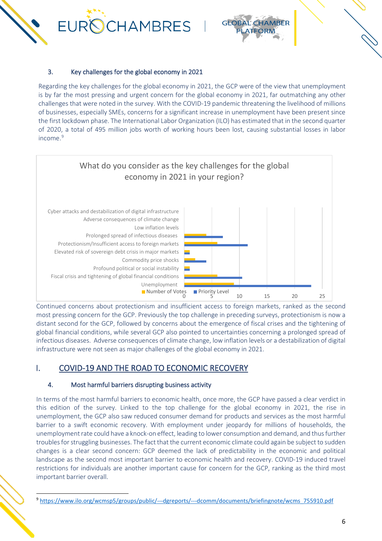

#### 3. Key challenges for the global economy in 2021

Regarding the key challenges for the global economy in 2021, the GCP were of the view that unemployment is by far the most pressing and urgent concern for the global economy in 2021, far outmatching any other challenges that were noted in the survey. With the COVID-19 pandemic threatening the livelihood of millions of businesses, especially SMEs, concerns for a significant increase in unemployment have been present since the first lockdown phase. The International Labor Organization (ILO) has estimated that in the second quarter of 2020, a total of 495 million jobs worth of working hours been lost, causing substantial losses in labor income.<sup>[9](#page-5-0)</sup>



Continued concerns about protectionism and insufficient access to foreign markets, ranked as the second most pressing concern for the GCP. Previously the top challenge in preceding surveys, protectionism is now a distant second for the GCP, followed by concerns about the emergence of fiscal crises and the tightening of global financial conditions, while several GCP also pointed to uncertainties concerning a prolonged spread of infectious diseases. Adverse consequences of climate change, low inflation levels or a destabilization of digital infrastructure were not seen as major challenges of the global economy in 2021.

## I. COVID-19 AND THE ROAD TO ECONOMIC RECOVERY

#### 4. Most harmful barriers disrupting business activity

In terms of the most harmful barriers to economic health, once more, the GCP have passed a clear verdict in this edition of the survey. Linked to the top challenge for the global economy in 2021, the rise in unemployment, the GCP also saw reduced consumer demand for products and services as the most harmful barrier to a swift economic recovery. With employment under jeopardy for millions of households, the unemployment rate could have a knock-on effect, leading to lower consumption and demand, and thus further troubles for struggling businesses. The fact that the current economic climate could again be subject to sudden changes is a clear second concern: GCP deemed the lack of predictability in the economic and political landscape as the second most important barrier to economic health and recovery. COVID-19 induced travel restrictions for individuals are another important cause for concern for the GCP, ranking as the third most important barrier overall.

<span id="page-5-0"></span><sup>9</sup> [https://www.ilo.org/wcmsp5/groups/public/---dgreports/---dcomm/documents/briefingnote/wcms\\_755910.pdf](https://www.ilo.org/wcmsp5/groups/public/---dgreports/---dcomm/documents/briefingnote/wcms_755910.pdf)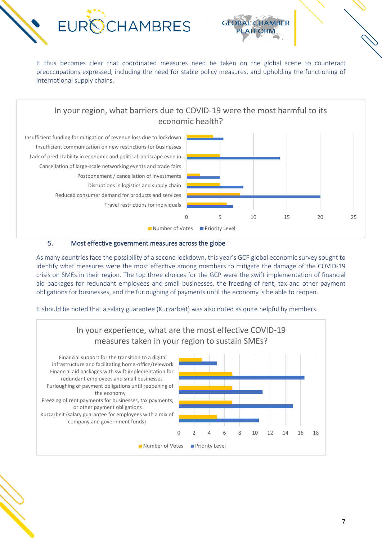



It thus becomes clear that coordinated measures need be taken on the global scene to counteract preoccupations expressed, including the need for stable policy measures, and upholding the functioning of international supply chains.

## In your region, what barriers due to COVID-19 were the most harmful to its economic health?



#### 5. Most effective government measures across the globe

As many countries face the possibility of a second lockdown, this year's GCP global economic survey sought to identify what measures were the most effective among members to mitigate the damage of the COVID-19 crisis on SMEs in their region. The top three choices for the GCP were the swift implementation of financial aid packages for redundant employees and small businesses, the freezing of rent, tax and other payment obligations for businesses, and the furloughing of payments until the economy is be able to reopen.

It should be noted that a salary guarantee (Kurzarbeit) was also noted as quite helpful by members.

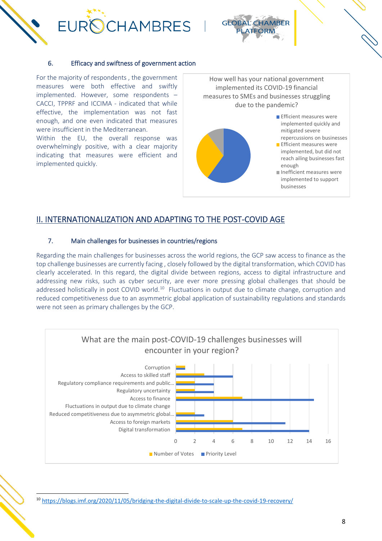



#### 6. Efficacy and swiftness of government action

For the majority of respondents , the government measures were both effective and swiftly implemented. However, some respondents – CACCI, TPPRF and ICCIMA - indicated that while effective, the implementation was not fast enough, and one even indicated that measures were insufficient in the Mediterranean.

Within the EU, the overall response was overwhelmingly positive, with a clear majority indicating that measures were efficient and implemented quickly.





#### II. INTERNATIONALIZATION AND ADAPTING TO THE POST-COVID AGE

#### 7. Main challenges for businesses in countries/regions

Regarding the main challenges for businesses across the world regions, the GCP saw access to finance as the top challenge businesses are currently facing , closely followed by the digital transformation, which COVID has clearly accelerated. In this regard, the digital divide between regions, access to digital infrastructure and addressing new risks, such as cyber security, are ever more pressing global challenges that should be addressed holistically in post COVID world.<sup>[10](#page-7-0)</sup> Fluctuations in output due to climate change, corruption and reduced competitiveness due to an asymmetric global application of sustainability regulations and standards were not seen as primary challenges by the GCP.



<span id="page-7-0"></span><sup>10</sup> <https://blogs.imf.org/2020/11/05/bridging-the-digital-divide-to-scale-up-the-covid-19-recovery/>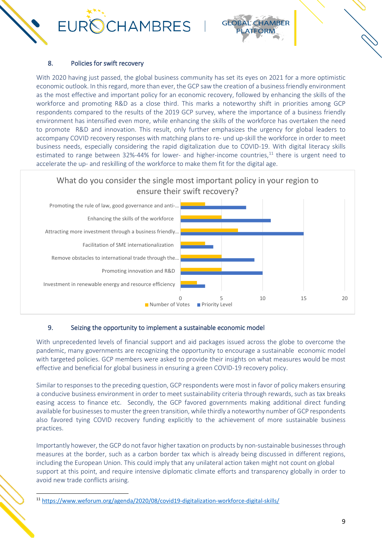



#### 8. Policies for swift recovery

With 2020 having just passed, the global business community has set its eyes on 2021 for a more optimistic economic outlook. In this regard, more than ever, the GCP saw the creation of a business friendly environment as the most effective and important policy for an economic recovery, followed by enhancing the skills of the workforce and promoting R&D as a close third. This marks a noteworthy shift in priorities among GCP respondents compared to the results of the 2019 GCP survey, where the importance of a business friendly environment has intensified even more, while enhancing the skills of the workforce has overtaken the need to promote R&D and innovation. This result, only further emphasizes the urgency for global leaders to accompany COVID recovery responses with matching plans to re- und up-skill the workforce in order to meet business needs, especially considering the rapid digitalization due to COVID-19. With digital literacy skills estimated to range between 32%-44% for lower- and higher-income countries,<sup>[11](#page-8-0)</sup> there is urgent need to accelerate the up- and reskilling of the workforce to make them fit for the digital age.

#### What do you consider the single most important policy in your region to ensure their swift recovery?



#### 9. Seizing the opportunity to implement a sustainable economic model

With unprecedented levels of financial support and aid packages issued across the globe to overcome the pandemic, many governments are recognizing the opportunity to encourage a sustainable economic model with targeted policies. GCP members were asked to provide their insights on what measures would be most effective and beneficial for global business in ensuring a green COVID-19 recovery policy.

Similar to responses to the preceding question, GCP respondents were most in favor of policy makers ensuring a conducive business environment in order to meet sustainability criteria through rewards, such as tax breaks easing access to finance etc. Secondly, the GCP favored governments making additional direct funding available for businesses to muster the green transition, while thirdly a noteworthy number of GCP respondents also favored tying COVID recovery funding explicitly to the achievement of more sustainable business practices.

Importantly however, the GCP do not favor higher taxation on products by non-sustainable businesses through measures at the border, such as a carbon border tax which is already being discussed in different regions, including the European Union. This could imply that any unilateral action taken might not count on global support at this point, and require intensive diplomatic climate efforts and transparency globally in order to avoid new trade conflicts arising.

<span id="page-8-0"></span><sup>11</sup> <https://www.weforum.org/agenda/2020/08/covid19-digitalization-workforce-digital-skills/>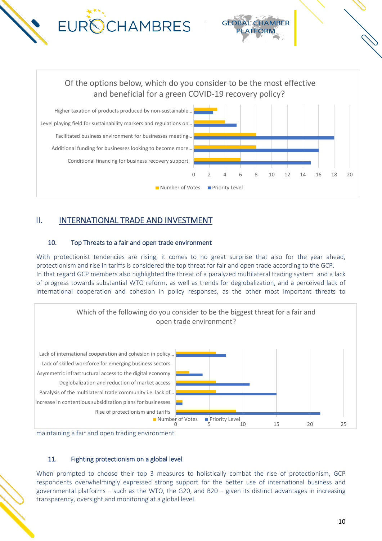

## II. INTERNATIONAL TRADE AND INVESTMENT

#### 10. Top Threats to a fair and open trade environment

With protectionist tendencies are rising, it comes to no great surprise that also for the year ahead, protectionism and rise in tariffs is considered the top threat for fair and open trade according to the GCP. In that regard GCP members also highlighted the threat of a paralyzed multilateral trading system and a lack of progress towards substantial WTO reform, as well as trends for deglobalization, and a perceived lack of international cooperation and cohesion in policy responses, as the other most important threats to





#### 11. Fighting protectionism on a global level

When prompted to choose their top 3 measures to holistically combat the rise of protectionism, GCP respondents overwhelmingly expressed strong support for the better use of international business and governmental platforms – such as the WTO, the G20, and B20 – given its distinct advantages in increasing transparency, oversight and monitoring at a global level.